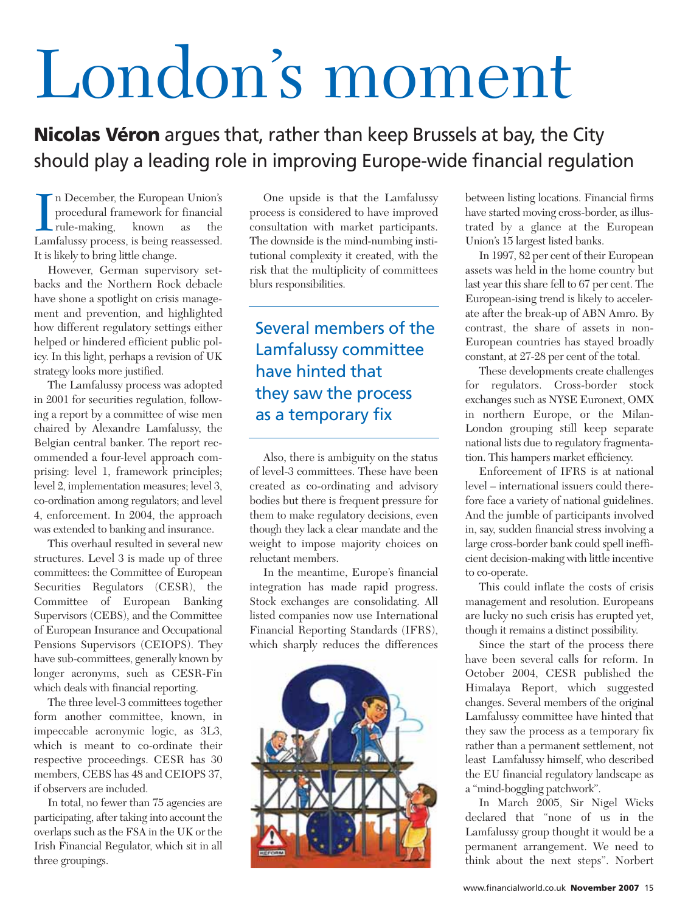## London's moment

**Nicolas Véron** argues that, rather than keep Brussels at bay, the City should play a leading role in improving Europe-wide financial regulation

In December, the European Union's<br>procedural framework for financial<br>rule-making, known as the<br>Lamfalussy process, is being reassessed. n December, the European Union's procedural framework for financial rule-making, known as the It is likely to bring little change.

However, German supervisory setbacks and the Northern Rock debacle have shone a spotlight on crisis management and prevention, and highlighted how different regulatory settings either helped or hindered efficient public policy. In this light, perhaps a revision of UK strategy looks more justified.

The Lamfalussy process was adopted in 2001 for securities regulation, following a report by a committee of wise men chaired by Alexandre Lamfalussy, the Belgian central banker. The report recommended a four-level approach comprising: level 1, framework principles; level 2, implementation measures; level 3, co-ordination among regulators; and level 4, enforcement. In 2004, the approach was extended to banking and insurance.

This overhaul resulted in several new structures. Level 3 is made up of three committees: the Committee of European Securities Regulators (CESR), the Committee of European Banking Supervisors (CEBS), and the Committee of European Insurance and Occupational Pensions Supervisors (CEIOPS). They have sub-committees, generally known by longer acronyms, such as CESR-Fin which deals with financial reporting.

The three level-3 committees together form another committee, known, in impeccable acronymic logic, as 3L3, which is meant to co-ordinate their respective proceedings. CESR has 30 members, CEBS has 48 and CEIOPS 37. if observers are included.

In total, no fewer than 75 agencies are participating, after taking into account the overlaps such as the FSA in the UK or the Irish Financial Regulator, which sit in all three groupings.

One upside is that the Lamfalussy process is considered to have improved consultation with market participants. The downside is the mind-numbing institutional complexity it created, with the risk that the multiplicity of committees blurs responsibilities.

Several members of the Lamfalussy committee have hinted that they saw the process as a temporary fix

Also, there is ambiguity on the status of level-3 committees. These have been created as co-ordinating and advisory bodies but there is frequent pressure for them to make regulatory decisions, even though they lack a clear mandate and the weight to impose majority choices on reluctant members.

In the meantime, Europe's financial integration has made rapid progress. Stock exchanges are consolidating. All listed companies now use International Financial Reporting Standards (IFRS), which sharply reduces the differences



between listing locations. Financial firms have started moving cross-border, as illustrated by a glance at the European Union's 15 largest listed banks.

In 1997, 82 per cent of their European assets was held in the home country but last year this share fell to 67 per cent. The European-ising trend is likely to accelerate after the break-up of ABN Amro. By contrast, the share of assets in non-European countries has stayed broadly constant, at 27-28 per cent of the total.

These developments create challenges for regulators. Cross-border stock exchanges such as NYSE Euronext, OMX in northern Europe, or the Milan-London grouping still keep separate national lists due to regulatory fragmentation. This hampers market efficiency.

Enforcement of IFRS is at national level – international issuers could therefore face a variety of national guidelines. And the jumble of participants involved in, say, sudden financial stress involving a large cross-border bank could spell inefficient decision-making with little incentive to co-operate.

This could inflate the costs of crisis management and resolution. Europeans are lucky no such crisis has erupted yet, though it remains a distinct possibility.

Since the start of the process there have been several calls for reform. In October 2004, CESR published the Himalaya Report, which suggested changes. Several members of the original Lamfalussy committee have hinted that they saw the process as a temporary fix rather than a permanent settlement, not least Lamfalussy himself, who described the EU financial regulatory landscape as a "mind-boggling patchwork".

In March 2005, Sir Nigel Wicks declared that "none of us in the Lamfalussy group thought it would be a permanent arrangement. We need to think about the next steps". Norbert